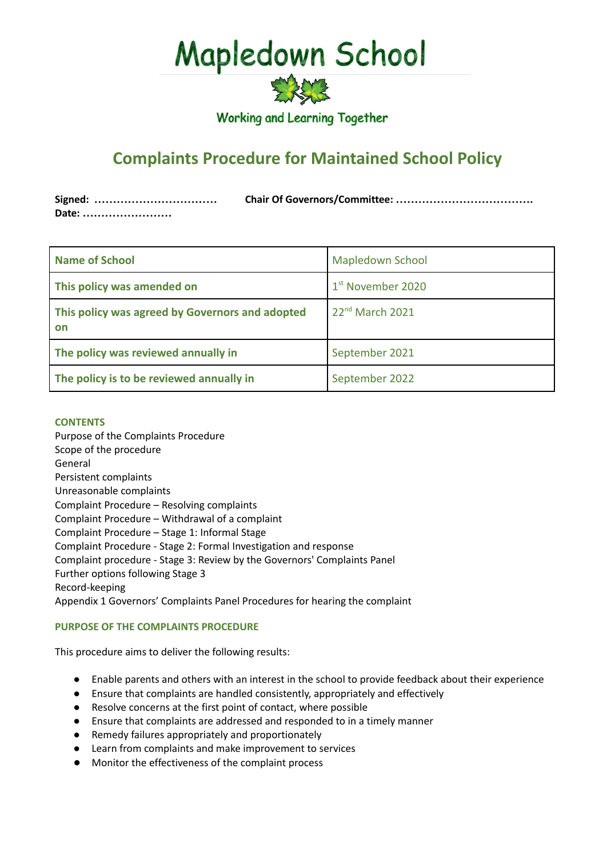# Mapledown School



**Working and Learning Together** 

# **Complaints Procedure for Maintained School Policy**

| Signed: |  |
|---------|--|
| Date:   |  |

| <b>Name of School</b>                                 | <b>Mapledown School</b>       |
|-------------------------------------------------------|-------------------------------|
| This policy was amended on                            | 1 <sup>st</sup> November 2020 |
| This policy was agreed by Governors and adopted<br>on | 22 <sup>nd</sup> March 2021   |
| The policy was reviewed annually in                   | September 2021                |
| The policy is to be reviewed annually in              | September 2022                |

# **CONTENTS**

Purpose of the Complaints Procedure Scope of the procedure General Persistent complaints Unreasonable complaints Complaint Procedure – Resolving complaints Complaint Procedure – Withdrawal of a complaint Complaint Procedure – Stage 1: Informal Stage Complaint Procedure - Stage 2: Formal Investigation and response Complaint procedure - Stage 3: Review by the Governors' Complaints Panel Further options following Stage 3 Record-keeping Appendix 1 Governors' Complaints Panel Procedures for hearing the complaint

# **PURPOSE OF THE COMPLAINTS PROCEDURE**

This procedure aims to deliver the following results:

- Enable parents and others with an interest in the school to provide feedback about their experience
- Ensure that complaints are handled consistently, appropriately and effectively
- Resolve concerns at the first point of contact, where possible
- Ensure that complaints are addressed and responded to in a timely manner
- Remedy failures appropriately and proportionately
- Learn from complaints and make improvement to services
- **●** Monitor the effectiveness of the complaint process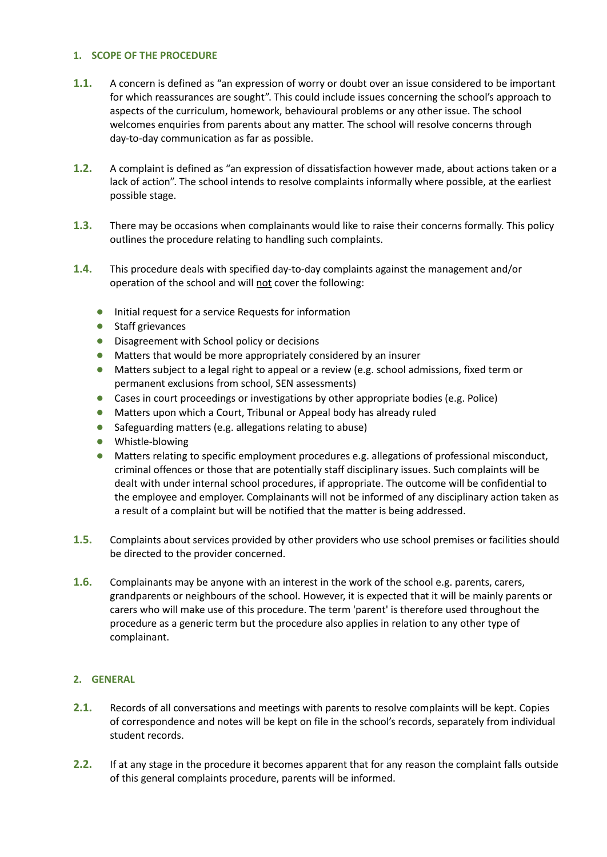# **1. SCOPE OF THE PROCEDURE**

- **1.1.** A concern is defined as "an expression of worry or doubt over an issue considered to be important for which reassurances are sought". This could include issues concerning the school's approach to aspects of the curriculum, homework, behavioural problems or any other issue. The school welcomes enquiries from parents about any matter. The school will resolve concerns through day-to-day communication as far as possible.
- **1.2.** A complaint is defined as "an expression of dissatisfaction however made, about actions taken or a lack of action". The school intends to resolve complaints informally where possible, at the earliest possible stage.
- **1.3.** There may be occasions when complainants would like to raise their concerns formally. This policy outlines the procedure relating to handling such complaints.
- **1.4.** This procedure deals with specified day-to-day complaints against the management and/or operation of the school and will not cover the following:
	- **●** Initial request for a service Requests for information
	- **●** Staff grievances
	- **●** Disagreement with School policy or decisions
	- **●** Matters that would be more appropriately considered by an insurer
	- **●** Matters subject to a legal right to appeal or a review (e.g. school admissions, fixed term or permanent exclusions from school, SEN assessments)
	- **●** Cases in court proceedings or investigations by other appropriate bodies (e.g. Police)
	- **●** Matters upon which a Court, Tribunal or Appeal body has already ruled
	- **●** Safeguarding matters (e.g. allegations relating to abuse)
	- **●** Whistle-blowing
	- Matters relating to specific employment procedures e.g. allegations of professional misconduct, criminal offences or those that are potentially staff disciplinary issues. Such complaints will be dealt with under internal school procedures, if appropriate. The outcome will be confidential to the employee and employer. Complainants will not be informed of any disciplinary action taken as a result of a complaint but will be notified that the matter is being addressed.
- **1.5.** Complaints about services provided by other providers who use school premises or facilities should be directed to the provider concerned.
- **1.6.** Complainants may be anyone with an interest in the work of the school e.g. parents, carers, grandparents or neighbours of the school. However, it is expected that it will be mainly parents or carers who will make use of this procedure. The term 'parent' is therefore used throughout the procedure as a generic term but the procedure also applies in relation to any other type of complainant.

# **2. GENERAL**

- **2.1.** Records of all conversations and meetings with parents to resolve complaints will be kept. Copies of correspondence and notes will be kept on file in the school's records, separately from individual student records.
- **2.2.** If at any stage in the procedure it becomes apparent that for any reason the complaint falls outside of this general complaints procedure, parents will be informed.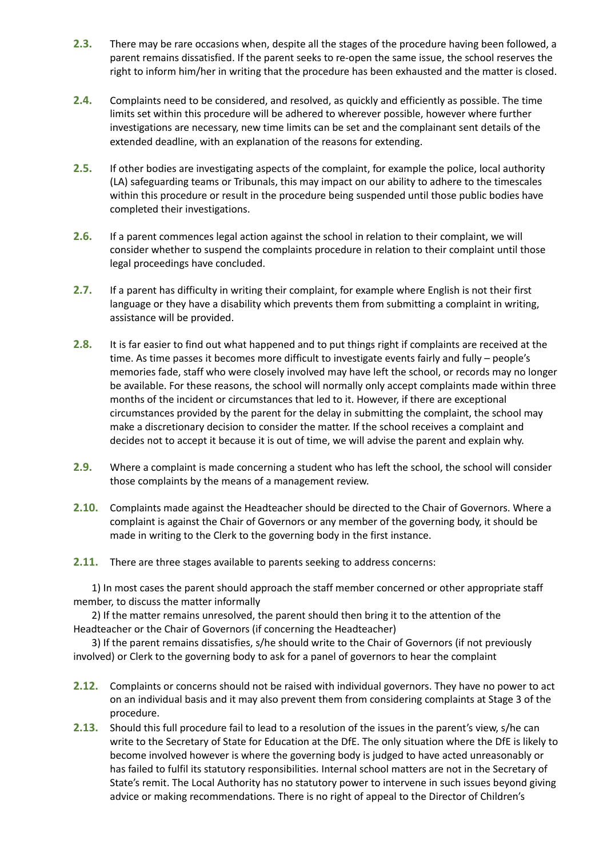- **2.3.** There may be rare occasions when, despite all the stages of the procedure having been followed, a parent remains dissatisfied. If the parent seeks to re-open the same issue, the school reserves the right to inform him/her in writing that the procedure has been exhausted and the matter is closed.
- **2.4.** Complaints need to be considered, and resolved, as quickly and efficiently as possible. The time limits set within this procedure will be adhered to wherever possible, however where further investigations are necessary, new time limits can be set and the complainant sent details of the extended deadline, with an explanation of the reasons for extending.
- **2.5.** If other bodies are investigating aspects of the complaint, for example the police, local authority (LA) safeguarding teams or Tribunals, this may impact on our ability to adhere to the timescales within this procedure or result in the procedure being suspended until those public bodies have completed their investigations.
- **2.6.** If a parent commences legal action against the school in relation to their complaint, we will consider whether to suspend the complaints procedure in relation to their complaint until those legal proceedings have concluded.
- **2.7.** If a parent has difficulty in writing their complaint, for example where English is not their first language or they have a disability which prevents them from submitting a complaint in writing, assistance will be provided.
- **2.8.** It is far easier to find out what happened and to put things right if complaints are received at the time. As time passes it becomes more difficult to investigate events fairly and fully – people's memories fade, staff who were closely involved may have left the school, or records may no longer be available. For these reasons, the school will normally only accept complaints made within three months of the incident or circumstances that led to it. However, if there are exceptional circumstances provided by the parent for the delay in submitting the complaint, the school may make a discretionary decision to consider the matter. If the school receives a complaint and decides not to accept it because it is out of time, we will advise the parent and explain why.
- **2.9.** Where a complaint is made concerning a student who has left the school, the school will consider those complaints by the means of a management review.
- **2.10.** Complaints made against the Headteacher should be directed to the Chair of Governors. Where a complaint is against the Chair of Governors or any member of the governing body, it should be made in writing to the Clerk to the governing body in the first instance.
- **2.11.** There are three stages available to parents seeking to address concerns:

1) In most cases the parent should approach the staff member concerned or other appropriate staff member, to discuss the matter informally

2) If the matter remains unresolved, the parent should then bring it to the attention of the Headteacher or the Chair of Governors (if concerning the Headteacher)

3) If the parent remains dissatisfies, s/he should write to the Chair of Governors (if not previously involved) or Clerk to the governing body to ask for a panel of governors to hear the complaint

- **2.12.** Complaints or concerns should not be raised with individual governors. They have no power to act on an individual basis and it may also prevent them from considering complaints at Stage 3 of the procedure.
- **2.13.** Should this full procedure fail to lead to a resolution of the issues in the parent's view, s/he can write to the Secretary of State for Education at the DfE. The only situation where the DfE is likely to become involved however is where the governing body is judged to have acted unreasonably or has failed to fulfil its statutory responsibilities. Internal school matters are not in the Secretary of State's remit. The Local Authority has no statutory power to intervene in such issues beyond giving advice or making recommendations. There is no right of appeal to the Director of Children's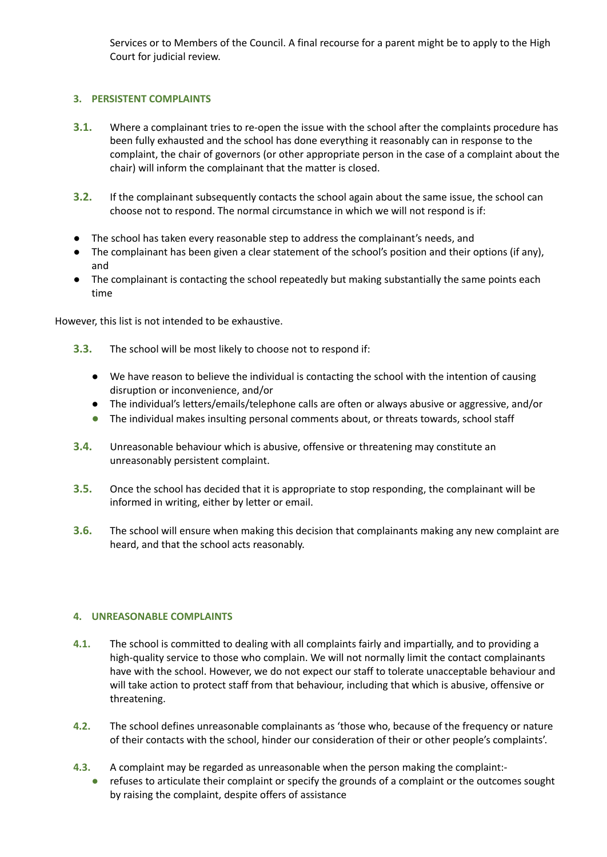Services or to Members of the Council. A final recourse for a parent might be to apply to the High Court for judicial review.

# **3. PERSISTENT COMPLAINTS**

- **3.1.** Where a complainant tries to re-open the issue with the school after the complaints procedure has been fully exhausted and the school has done everything it reasonably can in response to the complaint, the chair of governors (or other appropriate person in the case of a complaint about the chair) will inform the complainant that the matter is closed.
- **3.2.** If the complainant subsequently contacts the school again about the same issue, the school can choose not to respond. The normal circumstance in which we will not respond is if:
- The school has taken every reasonable step to address the complainant's needs, and
- The complainant has been given a clear statement of the school's position and their options (if any), and
- The complainant is contacting the school repeatedly but making substantially the same points each time

However, this list is not intended to be exhaustive.

- **3.3.** The school will be most likely to choose not to respond if:
	- We have reason to believe the individual is contacting the school with the intention of causing disruption or inconvenience, and/or
	- The individual's letters/emails/telephone calls are often or always abusive or aggressive, and/or
	- **●** The individual makes insulting personal comments about, or threats towards, school staff
- **3.4.** Unreasonable behaviour which is abusive, offensive or threatening may constitute an unreasonably persistent complaint.
- **3.5.** Once the school has decided that it is appropriate to stop responding, the complainant will be informed in writing, either by letter or email.
- **3.6.** The school will ensure when making this decision that complainants making any new complaint are heard, and that the school acts reasonably.

# **4. UNREASONABLE COMPLAINTS**

- **4.1.** The school is committed to dealing with all complaints fairly and impartially, and to providing a high-quality service to those who complain. We will not normally limit the contact complainants have with the school. However, we do not expect our staff to tolerate unacceptable behaviour and will take action to protect staff from that behaviour, including that which is abusive, offensive or threatening.
- **4.2.** The school defines unreasonable complainants as 'those who, because of the frequency or nature of their contacts with the school, hinder our consideration of their or other people's complaints'.
- **4.3.** A complaint may be regarded as unreasonable when the person making the complaint:- **●** refuses to articulate their complaint or specify the grounds of a complaint or the outcomes sought by raising the complaint, despite offers of assistance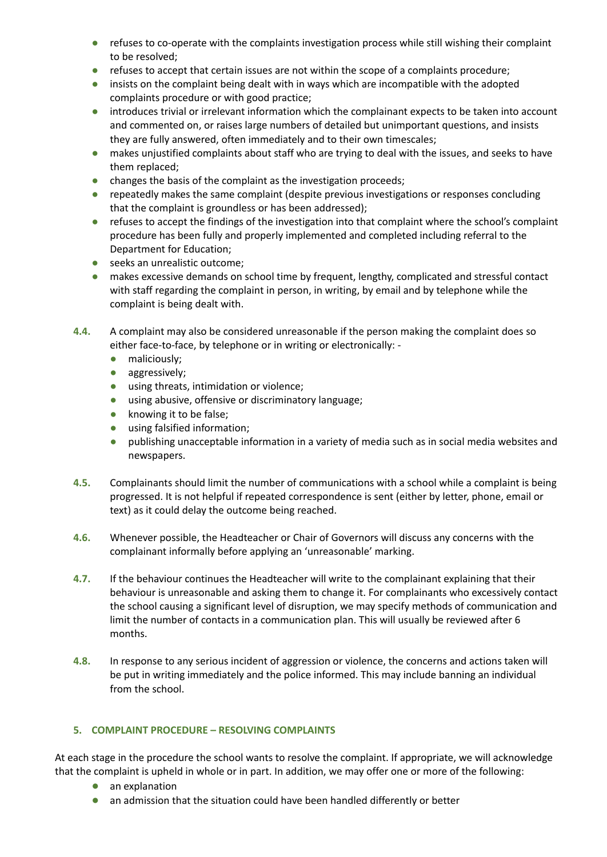- **●** refuses to co-operate with the complaints investigation process while still wishing their complaint to be resolved;
- **•** refuses to accept that certain issues are not within the scope of a complaints procedure;
- **●** insists on the complaint being dealt with in ways which are incompatible with the adopted complaints procedure or with good practice;
- **●** introduces trivial or irrelevant information which the complainant expects to be taken into account and commented on, or raises large numbers of detailed but unimportant questions, and insists they are fully answered, often immediately and to their own timescales;
- **●** makes unjustified complaints about staff who are trying to deal with the issues, and seeks to have them replaced;
- **●** changes the basis of the complaint as the investigation proceeds;
- **●** repeatedly makes the same complaint (despite previous investigations or responses concluding that the complaint is groundless or has been addressed);
- **●** refuses to accept the findings of the investigation into that complaint where the school's complaint procedure has been fully and properly implemented and completed including referral to the Department for Education;
- **●** seeks an unrealistic outcome;
- **●** makes excessive demands on school time by frequent, lengthy, complicated and stressful contact with staff regarding the complaint in person, in writing, by email and by telephone while the complaint is being dealt with.
- **4.4.** A complaint may also be considered unreasonable if the person making the complaint does so either face-to-face, by telephone or in writing or electronically: -
	- **●** maliciously;
	- **●** aggressively;
	- **●** using threats, intimidation or violence;
	- **●** using abusive, offensive or discriminatory language;
	- **●** knowing it to be false;
	- **●** using falsified information;
	- **●** publishing unacceptable information in a variety of media such as in social media websites and newspapers.
- **4.5.** Complainants should limit the number of communications with a school while a complaint is being progressed. It is not helpful if repeated correspondence is sent (either by letter, phone, email or text) as it could delay the outcome being reached.
- **4.6.** Whenever possible, the Headteacher or Chair of Governors will discuss any concerns with the complainant informally before applying an 'unreasonable' marking.
- **4.7.** If the behaviour continues the Headteacher will write to the complainant explaining that their behaviour is unreasonable and asking them to change it. For complainants who excessively contact the school causing a significant level of disruption, we may specify methods of communication and limit the number of contacts in a communication plan. This will usually be reviewed after 6 months.
- **4.8.** In response to any serious incident of aggression or violence, the concerns and actions taken will be put in writing immediately and the police informed. This may include banning an individual from the school.

# **5. COMPLAINT PROCEDURE – RESOLVING COMPLAINTS**

At each stage in the procedure the school wants to resolve the complaint. If appropriate, we will acknowledge that the complaint is upheld in whole or in part. In addition, we may offer one or more of the following:

- **●** an explanation
- **●** an admission that the situation could have been handled differently or better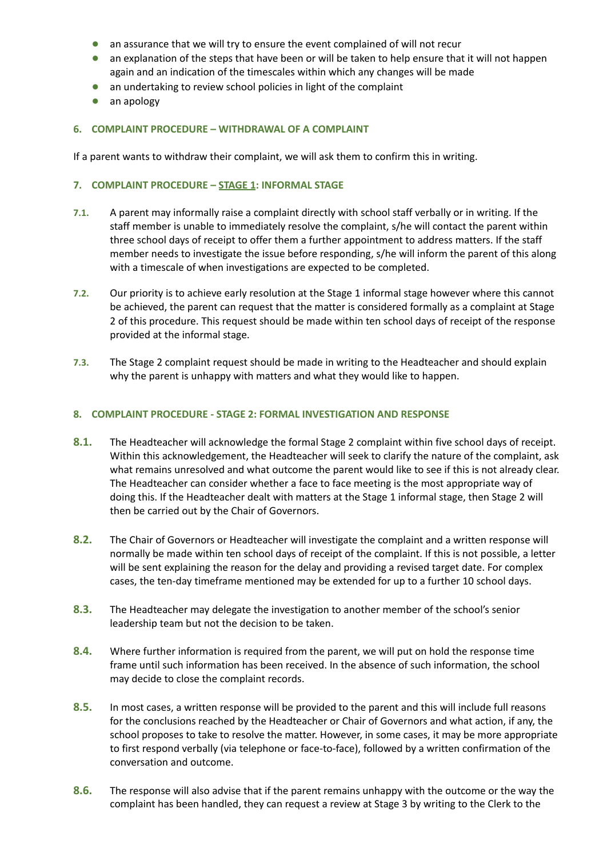- **●** an assurance that we will try to ensure the event complained of will not recur
- **●** an explanation of the steps that have been or will be taken to help ensure that it will not happen again and an indication of the timescales within which any changes will be made
- **●** an undertaking to review school policies in light of the complaint
- **●** an apology

#### **6. COMPLAINT PROCEDURE – WITHDRAWAL OF A COMPLAINT**

If a parent wants to withdraw their complaint, we will ask them to confirm this in writing.

# **7. COMPLAINT PROCEDURE – STAGE 1: INFORMAL STAGE**

- **7.1.** A parent may informally raise a complaint directly with school staff verbally or in writing. If the staff member is unable to immediately resolve the complaint, s/he will contact the parent within three school days of receipt to offer them a further appointment to address matters. If the staff member needs to investigate the issue before responding, s/he will inform the parent of this along with a timescale of when investigations are expected to be completed.
- **7.2.** Our priority is to achieve early resolution at the Stage 1 informal stage however where this cannot be achieved, the parent can request that the matter is considered formally as a complaint at Stage 2 of this procedure. This request should be made within ten school days of receipt of the response provided at the informal stage.
- **7.3.** The Stage 2 complaint request should be made in writing to the Headteacher and should explain why the parent is unhappy with matters and what they would like to happen.

#### **8. COMPLAINT PROCEDURE - STAGE 2: FORMAL INVESTIGATION AND RESPONSE**

- **8.1.** The Headteacher will acknowledge the formal Stage 2 complaint within five school days of receipt. Within this acknowledgement, the Headteacher will seek to clarify the nature of the complaint, ask what remains unresolved and what outcome the parent would like to see if this is not already clear. The Headteacher can consider whether a face to face meeting is the most appropriate way of doing this. If the Headteacher dealt with matters at the Stage 1 informal stage, then Stage 2 will then be carried out by the Chair of Governors.
- **8.2.** The Chair of Governors or Headteacher will investigate the complaint and a written response will normally be made within ten school days of receipt of the complaint. If this is not possible, a letter will be sent explaining the reason for the delay and providing a revised target date. For complex cases, the ten-day timeframe mentioned may be extended for up to a further 10 school days.
- **8.3.** The Headteacher may delegate the investigation to another member of the school's senior leadership team but not the decision to be taken.
- **8.4.** Where further information is required from the parent, we will put on hold the response time frame until such information has been received. In the absence of such information, the school may decide to close the complaint records.
- **8.5.** In most cases, a written response will be provided to the parent and this will include full reasons for the conclusions reached by the Headteacher or Chair of Governors and what action, if any, the school proposes to take to resolve the matter. However, in some cases, it may be more appropriate to first respond verbally (via telephone or face-to-face), followed by a written confirmation of the conversation and outcome.
- **8.6.** The response will also advise that if the parent remains unhappy with the outcome or the way the complaint has been handled, they can request a review at Stage 3 by writing to the Clerk to the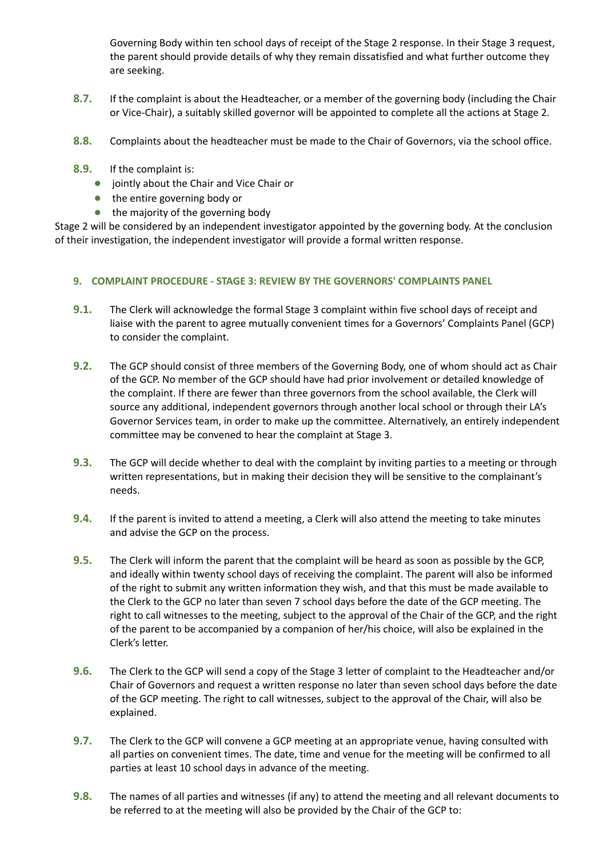Governing Body within ten school days of receipt of the Stage 2 response. In their Stage 3 request, the parent should provide details of why they remain dissatisfied and what further outcome they are seeking.

- **8.7.** If the complaint is about the Headteacher, or a member of the governing body (including the Chair or Vice-Chair), a suitably skilled governor will be appointed to complete all the actions at Stage 2.
- **8.8.** Complaints about the headteacher must be made to the Chair of Governors, via the school office.
- **8.9.** If the complaint is:
	- **●** jointly about the Chair and Vice Chair or
	- **●** the entire governing body or
	- **●** the majority of the governing body

Stage 2 will be considered by an independent investigator appointed by the governing body. At the conclusion of their investigation, the independent investigator will provide a formal written response.

# **9. COMPLAINT PROCEDURE - STAGE 3: REVIEW BY THE GOVERNORS' COMPLAINTS PANEL**

- **9.1.** The Clerk will acknowledge the formal Stage 3 complaint within five school days of receipt and liaise with the parent to agree mutually convenient times for a Governors' Complaints Panel (GCP) to consider the complaint.
- **9.2.** The GCP should consist of three members of the Governing Body, one of whom should act as Chair of the GCP. No member of the GCP should have had prior involvement or detailed knowledge of the complaint. If there are fewer than three governors from the school available, the Clerk will source any additional, independent governors through another local school or through their LA's Governor Services team, in order to make up the committee. Alternatively, an entirely independent committee may be convened to hear the complaint at Stage 3.
- **9.3.** The GCP will decide whether to deal with the complaint by inviting parties to a meeting or through written representations, but in making their decision they will be sensitive to the complainant's needs.
- **9.4.** If the parent is invited to attend a meeting, a Clerk will also attend the meeting to take minutes and advise the GCP on the process.
- **9.5.** The Clerk will inform the parent that the complaint will be heard as soon as possible by the GCP, and ideally within twenty school days of receiving the complaint. The parent will also be informed of the right to submit any written information they wish, and that this must be made available to the Clerk to the GCP no later than seven 7 school days before the date of the GCP meeting. The right to call witnesses to the meeting, subject to the approval of the Chair of the GCP, and the right of the parent to be accompanied by a companion of her/his choice, will also be explained in the Clerk's letter.
- **9.6.** The Clerk to the GCP will send a copy of the Stage 3 letter of complaint to the Headteacher and/or Chair of Governors and request a written response no later than seven school days before the date of the GCP meeting. The right to call witnesses, subject to the approval of the Chair, will also be explained.
- **9.7.** The Clerk to the GCP will convene a GCP meeting at an appropriate venue, having consulted with all parties on convenient times. The date, time and venue for the meeting will be confirmed to all parties at least 10 school days in advance of the meeting.
- **9.8.** The names of all parties and witnesses (if any) to attend the meeting and all relevant documents to be referred to at the meeting will also be provided by the Chair of the GCP to: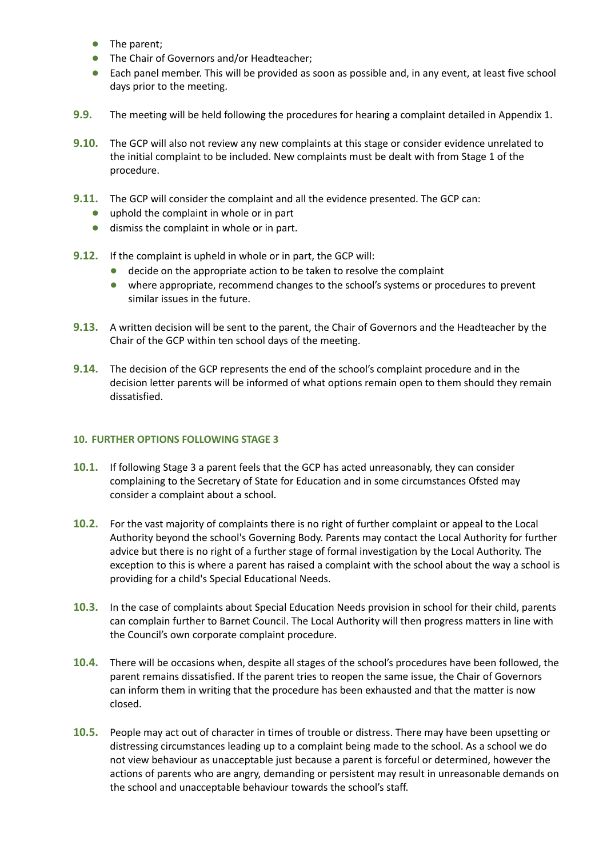- **●** The parent;
- **●** The Chair of Governors and/or Headteacher;
- **●** Each panel member. This will be provided as soon as possible and, in any event, at least five school days prior to the meeting.
- **9.9.** The meeting will be held following the procedures for hearing a complaint detailed in Appendix 1.
- **9.10.** The GCP will also not review any new complaints at this stage or consider evidence unrelated to the initial complaint to be included. New complaints must be dealt with from Stage 1 of the procedure.
- **9.11.** The GCP will consider the complaint and all the evidence presented. The GCP can:
	- **●** uphold the complaint in whole or in part
	- **●** dismiss the complaint in whole or in part.
- **9.12.** If the complaint is upheld in whole or in part, the GCP will:
	- **●** decide on the appropriate action to be taken to resolve the complaint
	- **●** where appropriate, recommend changes to the school's systems or procedures to prevent similar issues in the future.
- **9.13.** A written decision will be sent to the parent, the Chair of Governors and the Headteacher by the Chair of the GCP within ten school days of the meeting.
- **9.14.** The decision of the GCP represents the end of the school's complaint procedure and in the decision letter parents will be informed of what options remain open to them should they remain dissatisfied.

# **10. FURTHER OPTIONS FOLLOWING STAGE 3**

- **10.1.** If following Stage 3 a parent feels that the GCP has acted unreasonably, they can consider complaining to the Secretary of State for Education and in some circumstances Ofsted may consider a complaint about a school.
- **10.2.** For the vast majority of complaints there is no right of further complaint or appeal to the Local Authority beyond the school's Governing Body. Parents may contact the Local Authority for further advice but there is no right of a further stage of formal investigation by the Local Authority. The exception to this is where a parent has raised a complaint with the school about the way a school is providing for a child's Special Educational Needs.
- **10.3.** In the case of complaints about Special Education Needs provision in school for their child, parents can complain further to Barnet Council. The Local Authority will then progress matters in line with the Council's own corporate complaint procedure.
- **10.4.** There will be occasions when, despite all stages of the school's procedures have been followed, the parent remains dissatisfied. If the parent tries to reopen the same issue, the Chair of Governors can inform them in writing that the procedure has been exhausted and that the matter is now closed.
- **10.5.** People may act out of character in times of trouble or distress. There may have been upsetting or distressing circumstances leading up to a complaint being made to the school. As a school we do not view behaviour as unacceptable just because a parent is forceful or determined, however the actions of parents who are angry, demanding or persistent may result in unreasonable demands on the school and unacceptable behaviour towards the school's staff.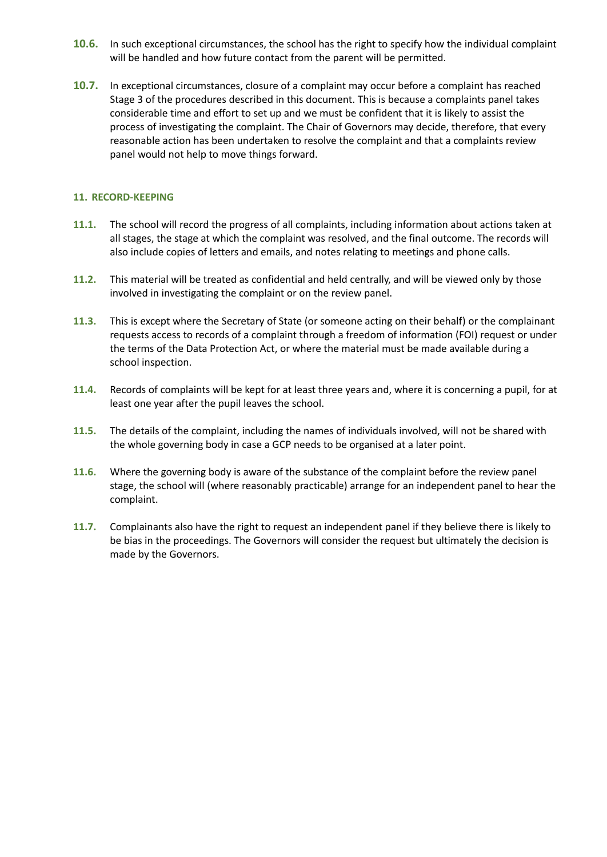- **10.6.** In such exceptional circumstances, the school has the right to specify how the individual complaint will be handled and how future contact from the parent will be permitted.
- **10.7.** In exceptional circumstances, closure of a complaint may occur before a complaint has reached Stage 3 of the procedures described in this document. This is because a complaints panel takes considerable time and effort to set up and we must be confident that it is likely to assist the process of investigating the complaint. The Chair of Governors may decide, therefore, that every reasonable action has been undertaken to resolve the complaint and that a complaints review panel would not help to move things forward.

# **11. RECORD-KEEPING**

- **11.1.** The school will record the progress of all complaints, including information about actions taken at all stages, the stage at which the complaint was resolved, and the final outcome. The records will also include copies of letters and emails, and notes relating to meetings and phone calls.
- **11.2.** This material will be treated as confidential and held centrally, and will be viewed only by those involved in investigating the complaint or on the review panel.
- **11.3.** This is except where the Secretary of State (or someone acting on their behalf) or the complainant requests access to records of a complaint through a freedom of information (FOI) request or under the terms of the Data Protection Act, or where the material must be made available during a school inspection.
- **11.4.** Records of complaints will be kept for at least three years and, where it is concerning a pupil, for at least one year after the pupil leaves the school.
- **11.5.** The details of the complaint, including the names of individuals involved, will not be shared with the whole governing body in case a GCP needs to be organised at a later point.
- **11.6.** Where the governing body is aware of the substance of the complaint before the review panel stage, the school will (where reasonably practicable) arrange for an independent panel to hear the complaint.
- **11.7.** Complainants also have the right to request an independent panel if they believe there is likely to be bias in the proceedings. The Governors will consider the request but ultimately the decision is made by the Governors.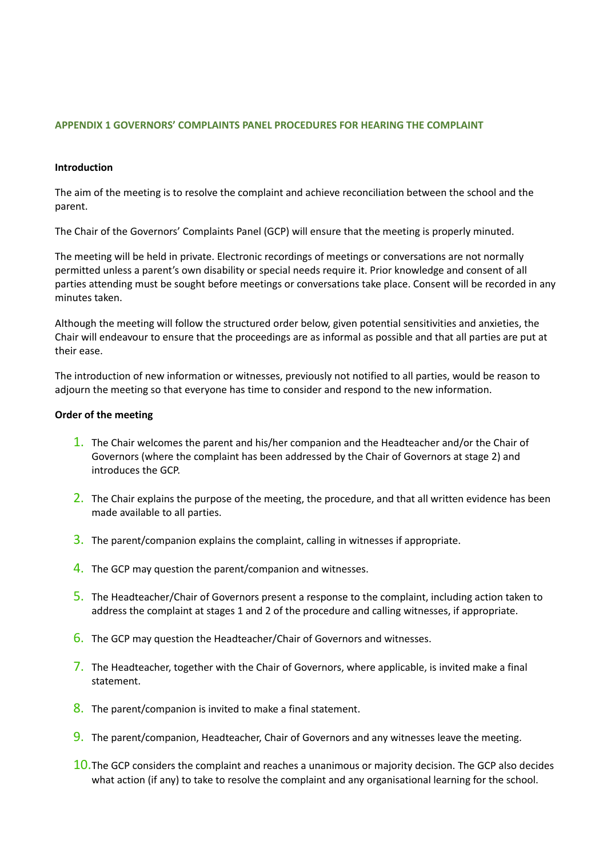# **APPENDIX 1 GOVERNORS' COMPLAINTS PANEL PROCEDURES FOR HEARING THE COMPLAINT**

#### **Introduction**

The aim of the meeting is to resolve the complaint and achieve reconciliation between the school and the parent.

The Chair of the Governors' Complaints Panel (GCP) will ensure that the meeting is properly minuted.

The meeting will be held in private. Electronic recordings of meetings or conversations are not normally permitted unless a parent's own disability or special needs require it. Prior knowledge and consent of all parties attending must be sought before meetings or conversations take place. Consent will be recorded in any minutes taken.

Although the meeting will follow the structured order below, given potential sensitivities and anxieties, the Chair will endeavour to ensure that the proceedings are as informal as possible and that all parties are put at their ease.

The introduction of new information or witnesses, previously not notified to all parties, would be reason to adjourn the meeting so that everyone has time to consider and respond to the new information.

#### **Order of the meeting**

- 1. The Chair welcomes the parent and his/her companion and the Headteacher and/or the Chair of Governors (where the complaint has been addressed by the Chair of Governors at stage 2) and introduces the GCP.
- 2. The Chair explains the purpose of the meeting, the procedure, and that all written evidence has been made available to all parties.
- 3. The parent/companion explains the complaint, calling in witnesses if appropriate.
- 4. The GCP may question the parent/companion and witnesses.
- 5. The Headteacher/Chair of Governors present a response to the complaint, including action taken to address the complaint at stages 1 and 2 of the procedure and calling witnesses, if appropriate.
- 6. The GCP may question the Headteacher/Chair of Governors and witnesses.
- 7. The Headteacher, together with the Chair of Governors, where applicable, is invited make a final statement.
- 8. The parent/companion is invited to make a final statement.
- 9. The parent/companion, Headteacher, Chair of Governors and any witnesses leave the meeting.
- 10.The GCP considers the complaint and reaches a unanimous or majority decision. The GCP also decides what action (if any) to take to resolve the complaint and any organisational learning for the school.